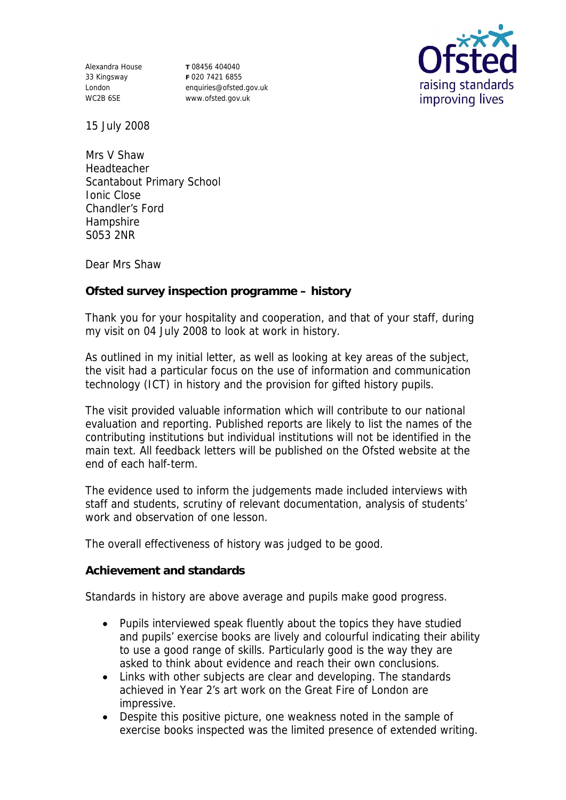Alexandra House 33 Kingsway London WC2B 6SE

**T** 08456 404040 **F** 020 7421 6855 enquiries@ofsted.gov.uk www.ofsted.gov.uk



15 July 2008

Mrs V Shaw Headteacher Scantabout Primary School Ionic Close Chandler's Ford Hampshire S053 2NR

Dear Mrs Shaw

**Ofsted survey inspection programme – history**

Thank you for your hospitality and cooperation, and that of your staff, during my visit on 04 July 2008 to look at work in history.

As outlined in my initial letter, as well as looking at key areas of the subject, the visit had a particular focus on the use of information and communication technology (ICT) in history and the provision for gifted history pupils.

The visit provided valuable information which will contribute to our national evaluation and reporting. Published reports are likely to list the names of the contributing institutions but individual institutions will not be identified in the main text. All feedback letters will be published on the Ofsted website at the end of each half-term.

The evidence used to inform the judgements made included interviews with staff and students, scrutiny of relevant documentation, analysis of students' work and observation of one lesson.

The overall effectiveness of history was judged to be good.

**Achievement and standards** 

Standards in history are above average and pupils make good progress.

- Pupils interviewed speak fluently about the topics they have studied and pupils' exercise books are lively and colourful indicating their ability to use a good range of skills. Particularly good is the way they are asked to think about evidence and reach their own conclusions.
- Links with other subjects are clear and developing. The standards achieved in Year 2's art work on the Great Fire of London are impressive.
- Despite this positive picture, one weakness noted in the sample of exercise books inspected was the limited presence of extended writing.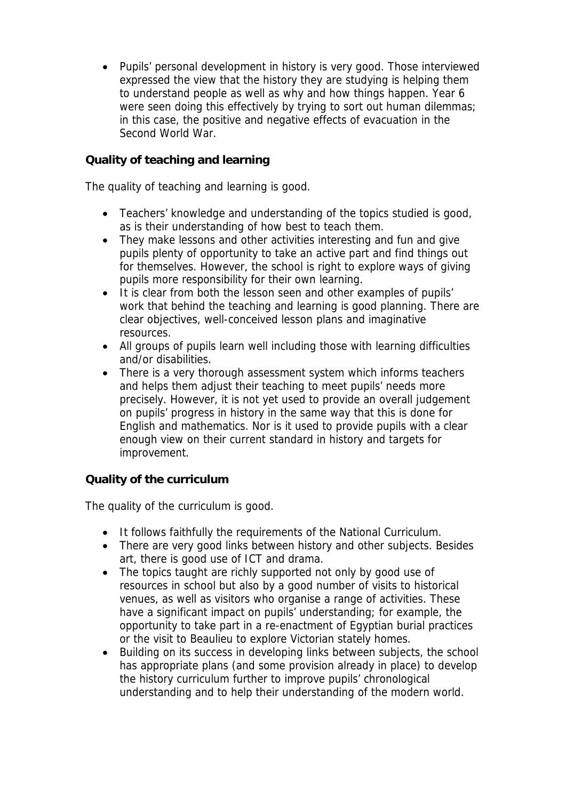Pupils' personal development in history is very good. Those interviewed expressed the view that the history they are studying is helping them to understand people as well as why and how things happen. Year 6 were seen doing this effectively by trying to sort out human dilemmas; in this case, the positive and negative effects of evacuation in the Second World War.

## **Quality of teaching and learning**

The quality of teaching and learning is good.

- Teachers' knowledge and understanding of the topics studied is good, as is their understanding of how best to teach them.
- They make lessons and other activities interesting and fun and give pupils plenty of opportunity to take an active part and find things out for themselves. However, the school is right to explore ways of giving pupils more responsibility for their own learning.
- It is clear from both the lesson seen and other examples of pupils' work that behind the teaching and learning is good planning. There are clear objectives, well-conceived lesson plans and imaginative resources.
- All groups of pupils learn well including those with learning difficulties and/or disabilities.
- There is a very thorough assessment system which informs teachers and helps them adjust their teaching to meet pupils' needs more precisely. However, it is not yet used to provide an overall judgement on pupils' progress in history in the same way that this is done for English and mathematics. Nor is it used to provide pupils with a clear enough view on their current standard in history and targets for improvement.

## **Quality of the curriculum**

The quality of the curriculum is good.

- It follows faithfully the requirements of the National Curriculum.
- There are very good links between history and other subjects. Besides art, there is good use of ICT and drama.
- The topics taught are richly supported not only by good use of resources in school but also by a good number of visits to historical venues, as well as visitors who organise a range of activities. These have a significant impact on pupils' understanding; for example, the opportunity to take part in a re-enactment of Egyptian burial practices or the visit to Beaulieu to explore Victorian stately homes.
- Building on its success in developing links between subjects, the school has appropriate plans (and some provision already in place) to develop the history curriculum further to improve pupils' chronological understanding and to help their understanding of the modern world.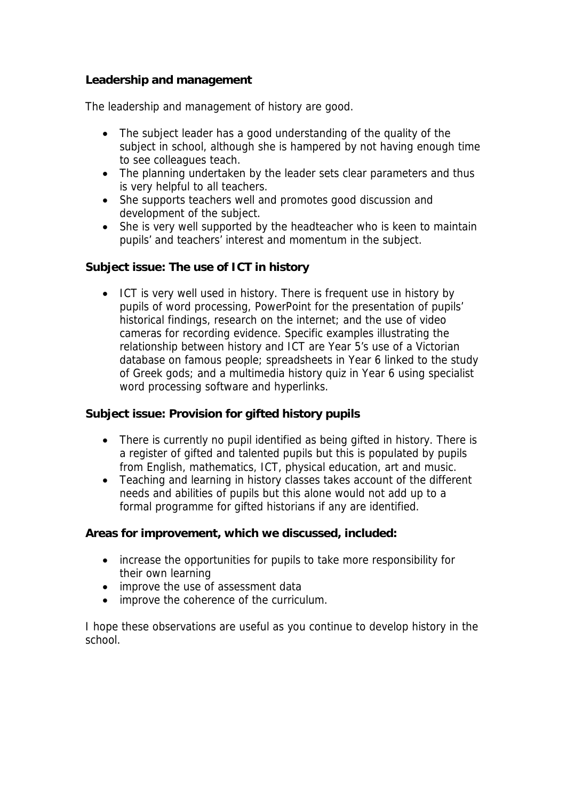## **Leadership and management**

The leadership and management of history are good.

- The subject leader has a good understanding of the quality of the subject in school, although she is hampered by not having enough time to see colleagues teach.
- The planning undertaken by the leader sets clear parameters and thus is very helpful to all teachers.
- She supports teachers well and promotes good discussion and development of the subject.
- She is very well supported by the headteacher who is keen to maintain pupils' and teachers' interest and momentum in the subject.

**Subject issue: The use of ICT in history** 

 ICT is very well used in history. There is frequent use in history by pupils of word processing, PowerPoint for the presentation of pupils' historical findings, research on the internet; and the use of video cameras for recording evidence. Specific examples illustrating the relationship between history and ICT are Year 5's use of a Victorian database on famous people; spreadsheets in Year 6 linked to the study of Greek gods; and a multimedia history quiz in Year 6 using specialist word processing software and hyperlinks.

**Subject issue: Provision for gifted history pupils**

- There is currently no pupil identified as being gifted in history. There is a register of gifted and talented pupils but this is populated by pupils from English, mathematics, ICT, physical education, art and music.
- Teaching and learning in history classes takes account of the different needs and abilities of pupils but this alone would not add up to a formal programme for gifted historians if any are identified.

**Areas for improvement, which we discussed, included:**

- increase the opportunities for pupils to take more responsibility for their own learning
- improve the use of assessment data
- improve the coherence of the curriculum.

I hope these observations are useful as you continue to develop history in the school.